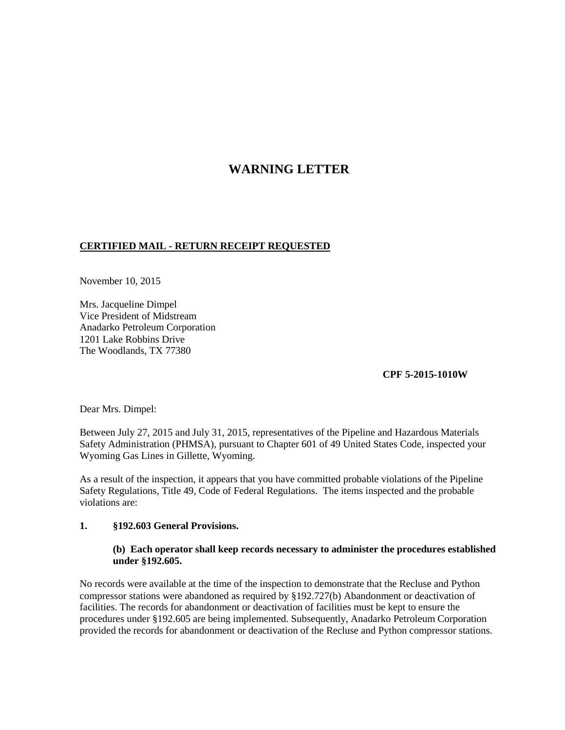# **WARNING LETTER**

## **CERTIFIED MAIL - RETURN RECEIPT REQUESTED**

November 10, 2015

Mrs. Jacqueline Dimpel Vice President of Midstream Anadarko Petroleum Corporation 1201 Lake Robbins Drive The Woodlands, TX 77380

## **CPF 5-2015-1010W**

Dear Mrs. Dimpel:

Between July 27, 2015 and July 31, 2015, representatives of the Pipeline and Hazardous Materials Safety Administration (PHMSA), pursuant to Chapter 601 of 49 United States Code, inspected your Wyoming Gas Lines in Gillette, Wyoming.

As a result of the inspection, it appears that you have committed probable violations of the Pipeline Safety Regulations, Title 49, Code of Federal Regulations. The items inspected and the probable violations are:

#### **1. §192.603 General Provisions.**

### **(b) Each operator shall keep records necessary to administer the procedures established under §192.605.**

No records were available at the time of the inspection to demonstrate that the Recluse and Python compressor stations were abandoned as required by §192.727(b) Abandonment or deactivation of facilities. The records for abandonment or deactivation of facilities must be kept to ensure the procedures under §192.605 are being implemented. Subsequently, Anadarko Petroleum Corporation provided the records for abandonment or deactivation of the Recluse and Python compressor stations.